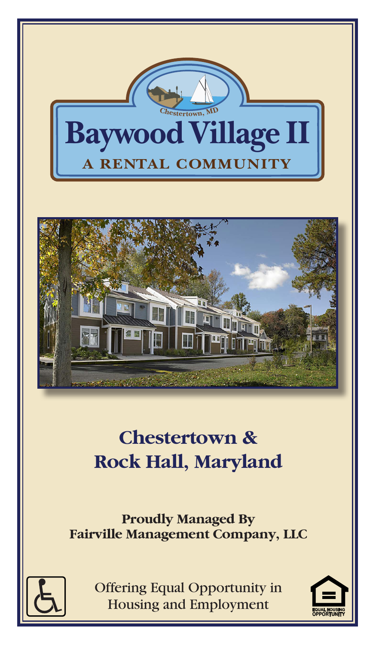



# **Chestertown & Rock Hall, Maryland**

**Proudly Managed By Fairville Management Company, LLC**



Offering Equal Opportunity in **Housing and Employment** 

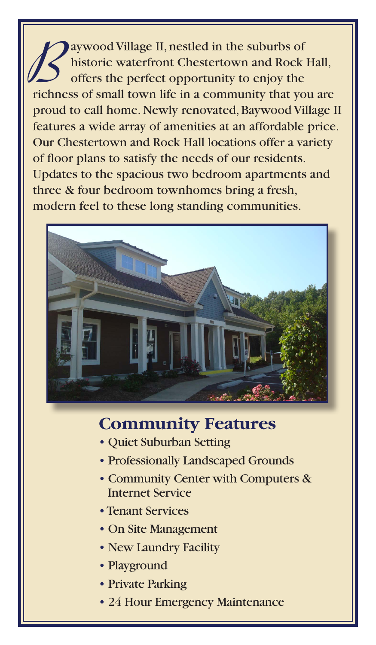**B** aywood Village II, nestled in the suburbs of historic waterfront Chestertown and Rock Hall, offers the perfect opportunity to enjoy the richness of small town life in a community that you are proud to call home. Newly renovated, Baywood Village II features a wide array of amenities at an affordable price. Our Chestertown and Rock Hall locations offer a variety of floor plans to satisfy the needs of our residents. Updates to the spacious two bedroom apartments and three & four bedroom townhomes bring a fresh, modern feel to these long standing communities.



## **Community Features**

- Quiet Suburban Setting
- Professionally Landscaped Grounds
- Community Center with Computers & Internet Service
- •Tenant Services
- On Site Management
- New Laundry Facility
- Playground
- Private Parking
- 24 Hour Emergency Maintenance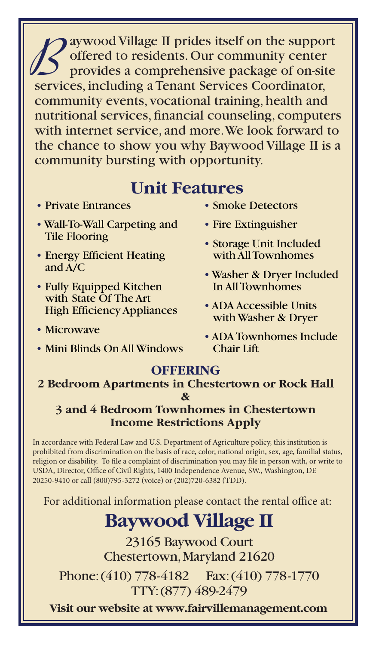**Baywood Village II prides itself on the support<br>offered to residents. Our community center<br>provides a comprehensive package of on-site** offered to residents. Our community center provides a comprehensive package of on-site services, including a Tenant Services Coordinator, community events, vocational training, health and nutritional services, financial counseling, computers with internet service, and more. We look forward to the chance to show you why Baywood Village II is a community bursting with opportunity.

### **Unit Features**

- Private Entrances
- Wall-To-Wall Carpeting and Tile Flooring
- Energy Efficient Heating and A/C
- Fully Equipped Kitchen with State Of The Art High Efficiency Appliances
- Microwave
- Mini Blinds On All Windows
- Smoke Detectors
- Fire Extinguisher
- Storage Unit Included with All Townhomes
- Washer & Dryer Included In All Townhomes
- ADA Accessible Units with Washer & Dryer
- ADA Townhomes Include Chair Lift

### **OFFERING**

#### **2 Bedroom Apartments in Chestertown or Rock Hall &**

#### **3 and 4 Bedroom Townhomes in Chestertown Income Restrictions Apply**

In accordance with Federal Law and U.S. Department of Agriculture policy, this institution is prohibited from discrimination on the basis of race, color, national origin, sex, age, familial status, religion or disability. To file a complaint of discrimination you may file in person with, or write to USDA, Director, Office of Civil Rights, 1400 Independence Avenue, SW., Washington, DE 20250-9410 or call (800)795-3272 (voice) or (202)720-6382 (TDD).

For additional information please contact the rental office at:

## **Baywood Village II**

23165 Baywood Court Chestertown, Maryland 21620

Phone: (410) 778-4182 Fax: (410) 778-1770 TTY: (877) 489-2479

**Visit our website at www.fairvillemanagement.com**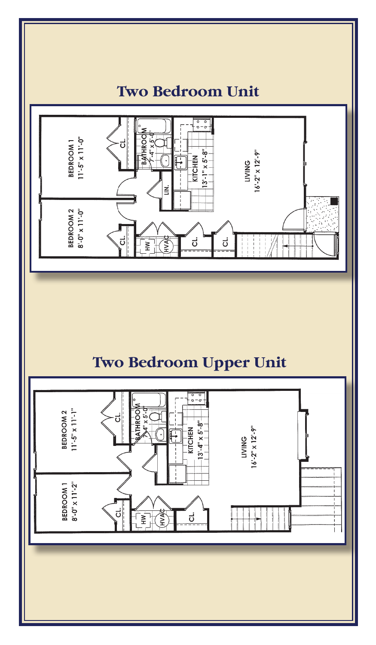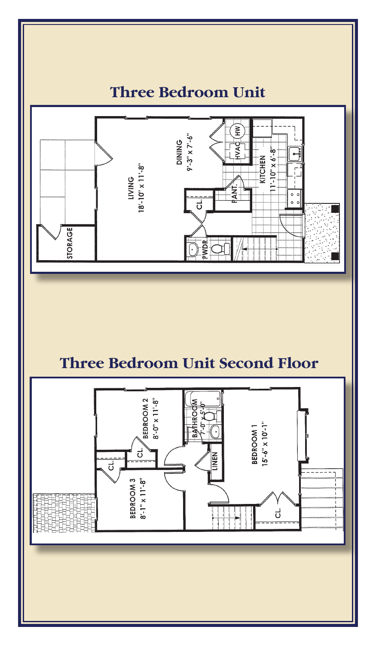